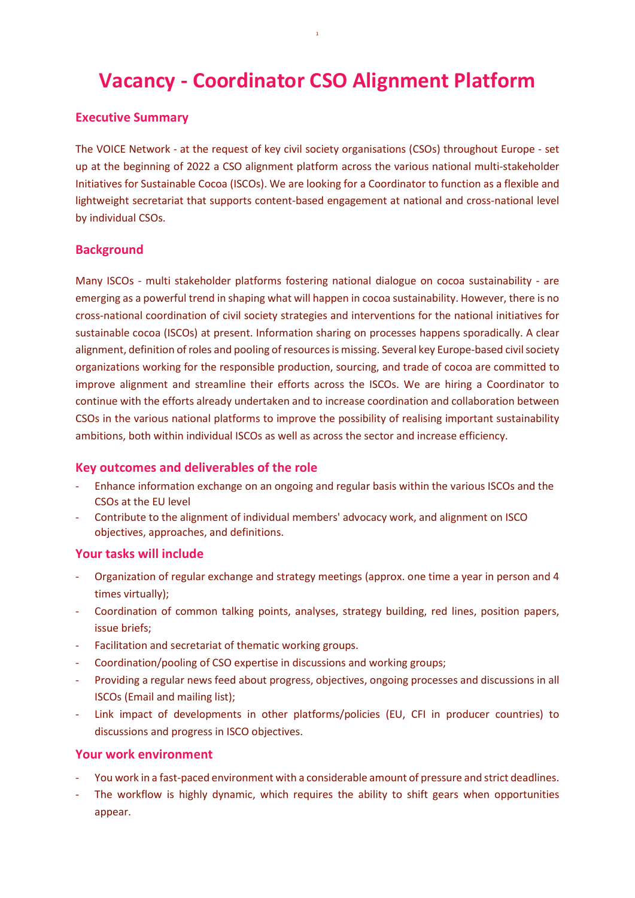# Vacancy - Coordinator CSO Alignment Platform

#### Executive Summary

The VOICE Network - at the request of key civil society organisations (CSOs) throughout Europe - set up at the beginning of 2022 a CSO alignment platform across the various national multi-stakeholder Initiatives for Sustainable Cocoa (ISCOs). We are looking for a Coordinator to function as a flexible and lightweight secretariat that supports content-based engagement at national and cross-national level by individual CSOs.

#### **Background**

Many ISCOs - multi stakeholder platforms fostering national dialogue on cocoa sustainability - are emerging as a powerful trend in shaping what will happen in cocoa sustainability. However, there is no cross-national coordination of civil society strategies and interventions for the national initiatives for sustainable cocoa (ISCOs) at present. Information sharing on processes happens sporadically. A clear alignment, definition of roles and pooling of resources is missing. Several key Europe-based civil society organizations working for the responsible production, sourcing, and trade of cocoa are committed to improve alignment and streamline their efforts across the ISCOs. We are hiring a Coordinator to continue with the efforts already undertaken and to increase coordination and collaboration between CSOs in the various national platforms to improve the possibility of realising important sustainability ambitions, both within individual ISCOs as well as across the sector and increase efficiency.

#### Key outcomes and deliverables of the role

- Enhance information exchange on an ongoing and regular basis within the various ISCOs and the CSOs at the EU level
- Contribute to the alignment of individual members' advocacy work, and alignment on ISCO objectives, approaches, and definitions.

#### Your tasks will include

- Organization of regular exchange and strategy meetings (approx. one time a year in person and 4 times virtually);
- Coordination of common talking points, analyses, strategy building, red lines, position papers, issue briefs;
- Facilitation and secretariat of thematic working groups.
- Coordination/pooling of CSO expertise in discussions and working groups;
- Providing a regular news feed about progress, objectives, ongoing processes and discussions in all ISCOs (Email and mailing list);
- Link impact of developments in other platforms/policies (EU, CFI in producer countries) to discussions and progress in ISCO objectives.

#### Your work environment

- You work in a fast-paced environment with a considerable amount of pressure and strict deadlines.
- The workflow is highly dynamic, which requires the ability to shift gears when opportunities appear.